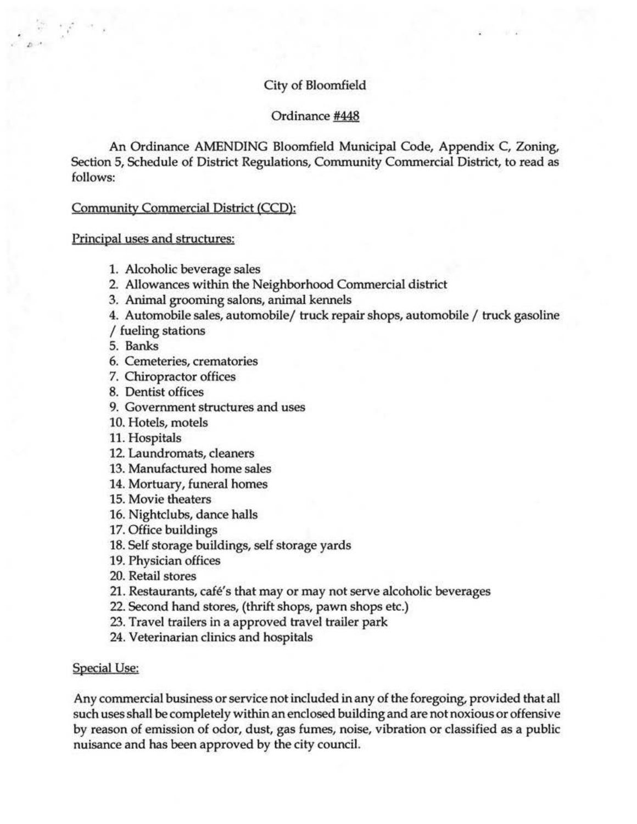# City of Bloomfield

#### Ordinance #448

An Ordinance AMENDING Bloomfield Municipal Code, Appendix C, Zoning, Section 5, Schedule of District Regulations, Community Commercial District, to read as follows:

#### Community Commercial District (CCD):

Principal uses and structures:

 $\mathcal{L}^{\bullet}$  .

- 1. Alcoholic beverage sales
- 2. Allowances within the Neighborhood Commercial district
- 3. Animal grooming salons, animal kennels
- 4. Automobile sales, automobile/ truck repair shops, automobile / truck gasoline

/ fueling stations

- 5. Banks
- 6. Cemeteries, crematories
- 7. Chiropractor offices
- 8. Dentist offices
- 9. Government structures and uses
- 10. Hotels, motels
- 11. Hospitals
- 12. Laundromats, cleaners
- 13. Manufactured home sales
- 14. Mortuary, funeral homes
- 15. Movie theaters
- 16. Nightclubs, dance halls
- 17. Office buildings
- 18. Self storage buildings, self storage yards
- 19. Physician offices
- 20. Retail stores
- 21. Restaurants, café's that may or may not serve alcoholic beverages
- 22. Second hand stores, (thrift shops, pawn shops etc.)
- 23. Travel trailers in a approved travel trailer park
- 24. Veterinarian clinics and hospitals

#### Special Use:

Any commercial business or service not included in any of the foregoing, provided that all such uses shall be completely within an enclosed building and are not noxious or offensive by reason of emission of odor, dust, gas fumes, noise, vibration or classified as a public nuisance and has been approved by the city council.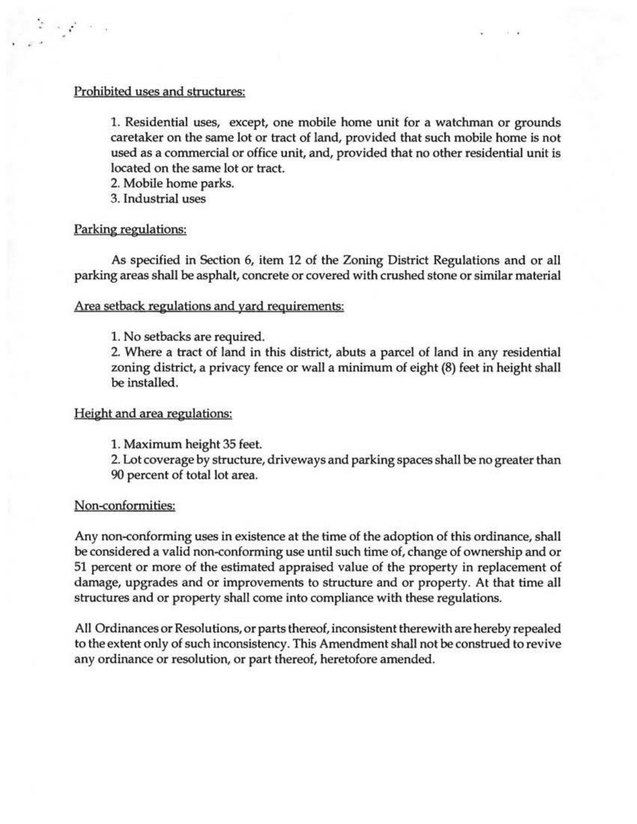### Prohibited uses and structures:

1. Residential uses, except, one mobile home unit for a watchman or grounds caretaker on the same lot or tract of land, provided that such mobile home is not used as a commercial or office unit, and, provided that no other residential unit is located on the same lot or tract.

2. Mobile home parks.

3. Industrial uses

# Parking regulations:

. . ;

As specified in Section 6, item 12 of the Zoning District Regulations and or all parking areas shall be asphalt, concrete or covered with crushed stone or similar material

# Area setback regulations and yard requirements:

1. No setbacks are required.

2. Where a tract of land in this district, abuts a parcel of land in any residential zoning district, a privacy fence or wall a minimum of eight (8) feet in height shall be installed.

### Height and area regulations:

l. Maximum height 35 feet.

2. Lot coverage by structure, driveways and parking spaces shall be no greater than 90 percent of total lot area.

### Non-conformities:

Any non-conforming uses in existence at the time of the adoption of this ordinance, shall be considered a valid non-conforming use until such time of, change of ownership and or 51 percent or more of the estimated appraised value of the property in replacement of damage, upgrades and or improvements to structure and or property. At that time all structures and or property shall come into compliance with these regulations.

All Ordinances or Resolutions, or parts thereof, inconsistent therewith are hereby repealed to the extent only of such inconsistency. This Amendment shall not be construed to revive any ordinance or resolution, or part thereof, heretofore amended.